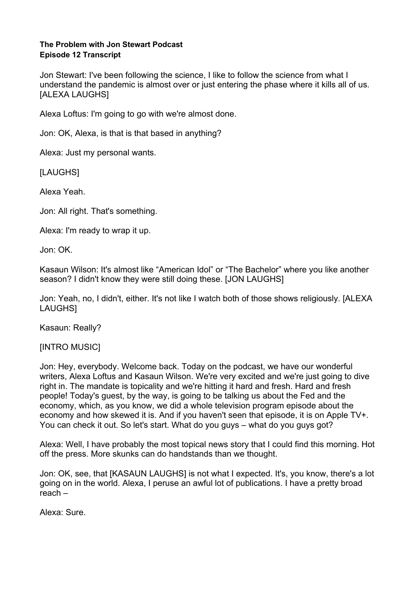#### **The Problem with Jon Stewart Podcast Episode 12 Transcript**

Jon Stewart: I've been following the science, I like to follow the science from what I understand the pandemic is almost over or just entering the phase where it kills all of us. [ALEXA LAUGHS]

Alexa Loftus: I'm going to go with we're almost done.

Jon: OK, Alexa, is that is that based in anything?

Alexa: Just my personal wants.

[LAUGHS]

Alexa Yeah.

Jon: All right. That's something.

Alexa: I'm ready to wrap it up.

Jon: OK.

Kasaun Wilson: It's almost like "American Idol" or "The Bachelor" where you like another season? I didn't know they were still doing these. [JON LAUGHS]

Jon: Yeah, no, I didn't, either. It's not like I watch both of those shows religiously. [ALEXA LAUGHS]

Kasaun: Really?

[INTRO MUSIC]

Jon: Hey, everybody. Welcome back. Today on the podcast, we have our wonderful writers, Alexa Loftus and Kasaun Wilson. We're very excited and we're just going to dive right in. The mandate is topicality and we're hitting it hard and fresh. Hard and fresh people! Today's guest, by the way, is going to be talking us about the Fed and the economy, which, as you know, we did a whole television program episode about the economy and how skewed it is. And if you haven't seen that episode, it is on Apple TV+. You can check it out. So let's start. What do you guys – what do you guys got?

Alexa: Well, I have probably the most topical news story that I could find this morning. Hot off the press. More skunks can do handstands than we thought.

Jon: OK, see, that [KASAUN LAUGHS] is not what I expected. It's, you know, there's a lot going on in the world. Alexa, I peruse an awful lot of publications. I have a pretty broad reach –

Alexa: Sure.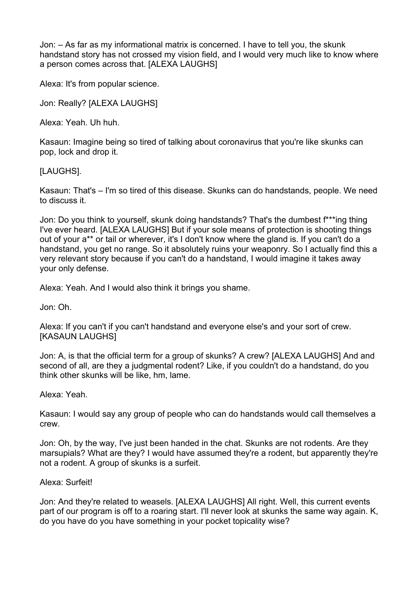Jon: – As far as my informational matrix is concerned. I have to tell you, the skunk handstand story has not crossed my vision field, and I would very much like to know where a person comes across that. [ALEXA LAUGHS]

Alexa: It's from popular science.

Jon: Really? [ALEXA LAUGHS]

Alexa: Yeah. Uh huh.

Kasaun: Imagine being so tired of talking about coronavirus that you're like skunks can pop, lock and drop it.

# [LAUGHS].

Kasaun: That's – I'm so tired of this disease. Skunks can do handstands, people. We need to discuss it.

Jon: Do you think to yourself, skunk doing handstands? That's the dumbest f\*\*\*ing thing I've ever heard. [ALEXA LAUGHS] But if your sole means of protection is shooting things out of your a\*\* or tail or wherever, it's I don't know where the gland is. If you can't do a handstand, you get no range. So it absolutely ruins your weaponry. So I actually find this a very relevant story because if you can't do a handstand, I would imagine it takes away your only defense.

Alexa: Yeah. And I would also think it brings you shame.

Jon: Oh.

Alexa: If you can't if you can't handstand and everyone else's and your sort of crew. [KASAUN LAUGHS]

Jon: A, is that the official term for a group of skunks? A crew? [ALEXA LAUGHS] And and second of all, are they a judgmental rodent? Like, if you couldn't do a handstand, do you think other skunks will be like, hm, lame.

## Alexa: Yeah.

Kasaun: I would say any group of people who can do handstands would call themselves a crew.

Jon: Oh, by the way, I've just been handed in the chat. Skunks are not rodents. Are they marsupials? What are they? I would have assumed they're a rodent, but apparently they're not a rodent. A group of skunks is a surfeit.

## Alexa: Surfeit!

Jon: And they're related to weasels. [ALEXA LAUGHS] All right. Well, this current events part of our program is off to a roaring start. I'll never look at skunks the same way again. K, do you have do you have something in your pocket topicality wise?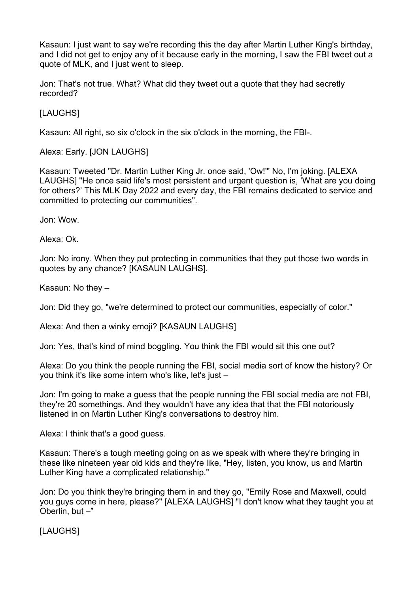Kasaun: I just want to say we're recording this the day after Martin Luther King's birthday, and I did not get to enjoy any of it because early in the morning, I saw the FBI tweet out a quote of MLK, and I just went to sleep.

Jon: That's not true. What? What did they tweet out a quote that they had secretly recorded?

[LAUGHS]

Kasaun: All right, so six o'clock in the six o'clock in the morning, the FBI-.

Alexa: Early. [JON LAUGHS]

Kasaun: Tweeted "Dr. Martin Luther King Jr. once said, 'Ow!'" No, I'm joking. [ALEXA LAUGHS] "He once said life's most persistent and urgent question is, 'What are you doing for others?' This MLK Day 2022 and every day, the FBI remains dedicated to service and committed to protecting our communities".

Jon: Wow.

Alexa: Ok.

Jon: No irony. When they put protecting in communities that they put those two words in quotes by any chance? [KASAUN LAUGHS].

Kasaun: No they –

Jon: Did they go, "we're determined to protect our communities, especially of color."

Alexa: And then a winky emoji? [KASAUN LAUGHS]

Jon: Yes, that's kind of mind boggling. You think the FBI would sit this one out?

Alexa: Do you think the people running the FBI, social media sort of know the history? Or you think it's like some intern who's like, let's just –

Jon: I'm going to make a guess that the people running the FBI social media are not FBI, they're 20 somethings. And they wouldn't have any idea that that the FBI notoriously listened in on Martin Luther King's conversations to destroy him.

Alexa: I think that's a good guess.

Kasaun: There's a tough meeting going on as we speak with where they're bringing in these like nineteen year old kids and they're like, "Hey, listen, you know, us and Martin Luther King have a complicated relationship."

Jon: Do you think they're bringing them in and they go, "Emily Rose and Maxwell, could you guys come in here, please?" [ALEXA LAUGHS] "I don't know what they taught you at Oberlin, but  $-$ "

[LAUGHS]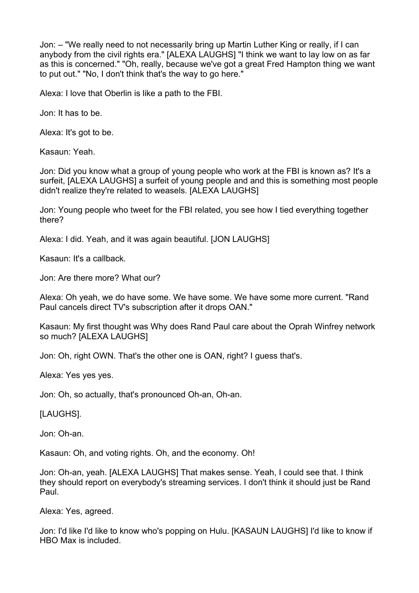Jon: – "We really need to not necessarily bring up Martin Luther King or really, if I can anybody from the civil rights era." [ALEXA LAUGHS] "I think we want to lay low on as far as this is concerned." "Oh, really, because we've got a great Fred Hampton thing we want to put out." "No, I don't think that's the way to go here."

Alexa: I love that Oberlin is like a path to the FBI.

Jon: It has to be.

Alexa: It's got to be.

Kasaun: Yeah.

Jon: Did you know what a group of young people who work at the FBI is known as? It's a surfeit, [ALEXA LAUGHS] a surfeit of young people and and this is something most people didn't realize they're related to weasels. [ALEXA LAUGHS]

Jon: Young people who tweet for the FBI related, you see how I tied everything together there?

Alexa: I did. Yeah, and it was again beautiful. [JON LAUGHS]

Kasaun: It's a callback.

Jon: Are there more? What our?

Alexa: Oh yeah, we do have some. We have some. We have some more current. "Rand Paul cancels direct TV's subscription after it drops OAN."

Kasaun: My first thought was Why does Rand Paul care about the Oprah Winfrey network so much? [ALEXA LAUGHS]

Jon: Oh, right OWN. That's the other one is OAN, right? I guess that's.

Alexa: Yes yes yes.

Jon: Oh, so actually, that's pronounced Oh-an, Oh-an.

[LAUGHS].

Jon: Oh-an.

Kasaun: Oh, and voting rights. Oh, and the economy. Oh!

Jon: Oh-an, yeah. [ALEXA LAUGHS] That makes sense. Yeah, I could see that. I think they should report on everybody's streaming services. I don't think it should just be Rand Paul.

Alexa: Yes, agreed.

Jon: I'd like I'd like to know who's popping on Hulu. [KASAUN LAUGHS] I'd like to know if HBO Max is included.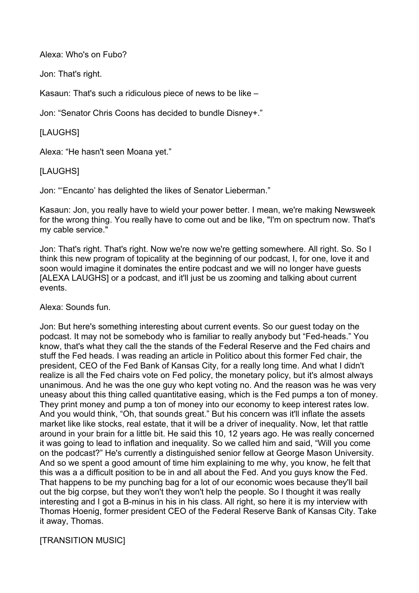Alexa: Who's on Fubo?

Jon: That's right.

Kasaun: That's such a ridiculous piece of news to be like –

Jon: "Senator Chris Coons has decided to bundle Disney+."

# [LAUGHS]

Alexa: "He hasn't seen Moana yet."

## [LAUGHS]

Jon: "'Encanto' has delighted the likes of Senator Lieberman."

Kasaun: Jon, you really have to wield your power better. I mean, we're making Newsweek for the wrong thing. You really have to come out and be like, "I'm on spectrum now. That's my cable service."

Jon: That's right. That's right. Now we're now we're getting somewhere. All right. So. So I think this new program of topicality at the beginning of our podcast, I, for one, love it and soon would imagine it dominates the entire podcast and we will no longer have guests [ALEXA LAUGHS] or a podcast, and it'll just be us zooming and talking about current events.

Alexa: Sounds fun.

Jon: But here's something interesting about current events. So our guest today on the podcast. It may not be somebody who is familiar to really anybody but "Fed-heads." You know, that's what they call the the stands of the Federal Reserve and the Fed chairs and stuff the Fed heads. I was reading an article in Politico about this former Fed chair, the president, CEO of the Fed Bank of Kansas City, for a really long time. And what I didn't realize is all the Fed chairs vote on Fed policy, the monetary policy, but it's almost always unanimous. And he was the one guy who kept voting no. And the reason was he was very uneasy about this thing called quantitative easing, which is the Fed pumps a ton of money. They print money and pump a ton of money into our economy to keep interest rates low. And you would think, "Oh, that sounds great." But his concern was it'll inflate the assets market like like stocks, real estate, that it will be a driver of inequality. Now, let that rattle around in your brain for a little bit. He said this 10, 12 years ago. He was really concerned it was going to lead to inflation and inequality. So we called him and said, "Will you come on the podcast?" He's currently a distinguished senior fellow at George Mason University. And so we spent a good amount of time him explaining to me why, you know, he felt that this was a a difficult position to be in and all about the Fed. And you guys know the Fed. That happens to be my punching bag for a lot of our economic woes because they'll bail out the big corpse, but they won't they won't help the people. So I thought it was really interesting and I got a B-minus in his in his class. All right, so here it is my interview with Thomas Hoenig, former president CEO of the Federal Reserve Bank of Kansas City. Take it away, Thomas.

[TRANSITION MUSIC]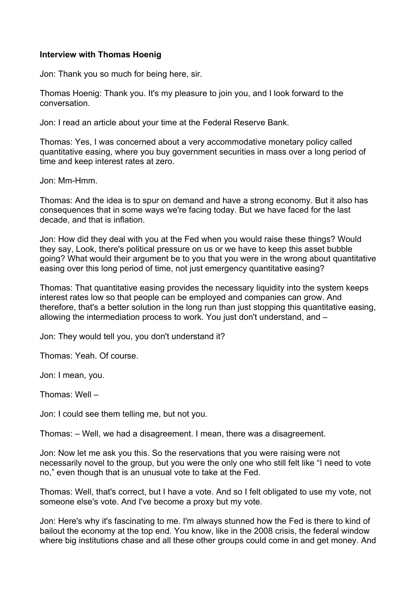#### **Interview with Thomas Hoenig**

Jon: Thank you so much for being here, sir.

Thomas Hoenig: Thank you. It's my pleasure to join you, and I look forward to the conversation.

Jon: I read an article about your time at the Federal Reserve Bank.

Thomas: Yes, I was concerned about a very accommodative monetary policy called quantitative easing, where you buy government securities in mass over a long period of time and keep interest rates at zero.

Jon: Mm-Hmm.

Thomas: And the idea is to spur on demand and have a strong economy. But it also has consequences that in some ways we're facing today. But we have faced for the last decade, and that is inflation.

Jon: How did they deal with you at the Fed when you would raise these things? Would they say, Look, there's political pressure on us or we have to keep this asset bubble going? What would their argument be to you that you were in the wrong about quantitative easing over this long period of time, not just emergency quantitative easing?

Thomas: That quantitative easing provides the necessary liquidity into the system keeps interest rates low so that people can be employed and companies can grow. And therefore, that's a better solution in the long run than just stopping this quantitative easing, allowing the intermediation process to work. You just don't understand, and –

Jon: They would tell you, you don't understand it?

Thomas: Yeah. Of course.

Jon: I mean, you.

Thomas: Well –

Jon: I could see them telling me, but not you.

Thomas: – Well, we had a disagreement. I mean, there was a disagreement.

Jon: Now let me ask you this. So the reservations that you were raising were not necessarily novel to the group, but you were the only one who still felt like "I need to vote no," even though that is an unusual vote to take at the Fed.

Thomas: Well, that's correct, but I have a vote. And so I felt obligated to use my vote, not someone else's vote. And I've become a proxy but my vote.

Jon: Here's why it's fascinating to me. I'm always stunned how the Fed is there to kind of bailout the economy at the top end. You know, like in the 2008 crisis, the federal window where big institutions chase and all these other groups could come in and get money. And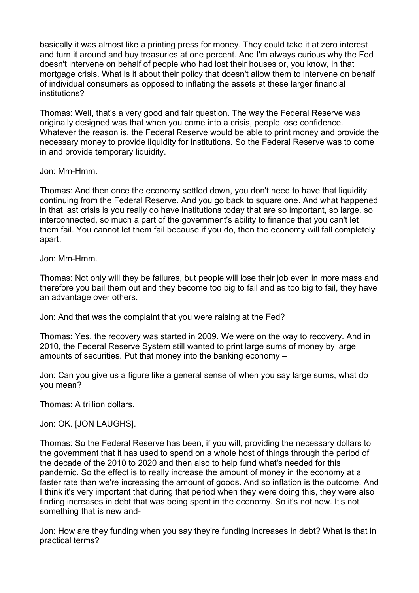basically it was almost like a printing press for money. They could take it at zero interest and turn it around and buy treasuries at one percent. And I'm always curious why the Fed doesn't intervene on behalf of people who had lost their houses or, you know, in that mortgage crisis. What is it about their policy that doesn't allow them to intervene on behalf of individual consumers as opposed to inflating the assets at these larger financial institutions?

Thomas: Well, that's a very good and fair question. The way the Federal Reserve was originally designed was that when you come into a crisis, people lose confidence. Whatever the reason is, the Federal Reserve would be able to print money and provide the necessary money to provide liquidity for institutions. So the Federal Reserve was to come in and provide temporary liquidity.

Jon: Mm-Hmm.

Thomas: And then once the economy settled down, you don't need to have that liquidity continuing from the Federal Reserve. And you go back to square one. And what happened in that last crisis is you really do have institutions today that are so important, so large, so interconnected, so much a part of the government's ability to finance that you can't let them fail. You cannot let them fail because if you do, then the economy will fall completely apart.

Jon: Mm-Hmm.

Thomas: Not only will they be failures, but people will lose their job even in more mass and therefore you bail them out and they become too big to fail and as too big to fail, they have an advantage over others.

Jon: And that was the complaint that you were raising at the Fed?

Thomas: Yes, the recovery was started in 2009. We were on the way to recovery. And in 2010, the Federal Reserve System still wanted to print large sums of money by large amounts of securities. Put that money into the banking economy –

Jon: Can you give us a figure like a general sense of when you say large sums, what do you mean?

Thomas: A trillion dollars.

Jon: OK. [JON LAUGHS].

Thomas: So the Federal Reserve has been, if you will, providing the necessary dollars to the government that it has used to spend on a whole host of things through the period of the decade of the 2010 to 2020 and then also to help fund what's needed for this pandemic. So the effect is to really increase the amount of money in the economy at a faster rate than we're increasing the amount of goods. And so inflation is the outcome. And I think it's very important that during that period when they were doing this, they were also finding increases in debt that was being spent in the economy. So it's not new. It's not something that is new and-

Jon: How are they funding when you say they're funding increases in debt? What is that in practical terms?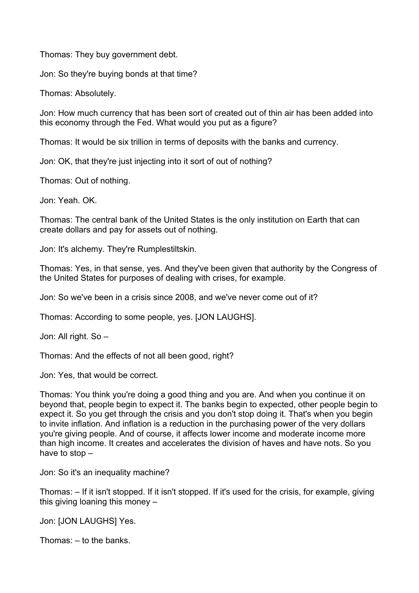Thomas: They buy government debt.

Jon: So they're buying bonds at that time?

Thomas: Absolutely.

Jon: How much currency that has been sort of created out of thin air has been added into this economy through the Fed. What would you put as a figure?

Thomas: It would be six trillion in terms of deposits with the banks and currency.

Jon: OK, that they're just injecting into it sort of out of nothing?

Thomas: Out of nothing.

Jon: Yeah. OK.

Thomas: The central bank of the United States is the only institution on Earth that can create dollars and pay for assets out of nothing.

Jon: It's alchemy. They're Rumplestiltskin.

Thomas: Yes, in that sense, yes. And they've been given that authority by the Congress of the United States for purposes of dealing with crises, for example.

Jon: So we've been in a crisis since 2008, and we've never come out of it?

Thomas: According to some people, yes. [JON LAUGHS].

Jon: All right. So –

Thomas: And the effects of not all been good, right?

Jon: Yes, that would be correct.

Thomas: You think you're doing a good thing and you are. And when you continue it on beyond that, people begin to expect it. The banks begin to expected, other people begin to expect it. So you get through the crisis and you don't stop doing it. That's when you begin to invite inflation. And inflation is a reduction in the purchasing power of the very dollars you're giving people. And of course, it affects lower income and moderate income more than high income. It creates and accelerates the division of haves and have nots. So you have to stop –

Jon: So it's an inequality machine?

Thomas: – If it isn't stopped. If it isn't stopped. If it's used for the crisis, for example, giving this giving loaning this money –

Jon: [JON LAUGHS] Yes.

Thomas: – to the banks.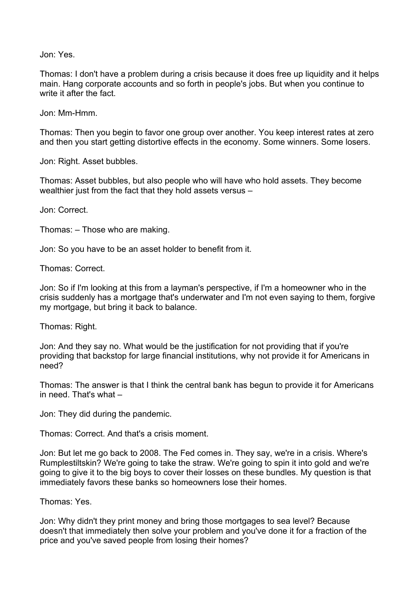Jon: Yes.

Thomas: I don't have a problem during a crisis because it does free up liquidity and it helps main. Hang corporate accounts and so forth in people's jobs. But when you continue to write it after the fact.

Jon: Mm-Hmm.

Thomas: Then you begin to favor one group over another. You keep interest rates at zero and then you start getting distortive effects in the economy. Some winners. Some losers.

Jon: Right. Asset bubbles.

Thomas: Asset bubbles, but also people who will have who hold assets. They become wealthier just from the fact that they hold assets versus –

Jon: Correct.

Thomas: – Those who are making.

Jon: So you have to be an asset holder to benefit from it.

Thomas: Correct.

Jon: So if I'm looking at this from a layman's perspective, if I'm a homeowner who in the crisis suddenly has a mortgage that's underwater and I'm not even saying to them, forgive my mortgage, but bring it back to balance.

Thomas: Right.

Jon: And they say no. What would be the justification for not providing that if you're providing that backstop for large financial institutions, why not provide it for Americans in need?

Thomas: The answer is that I think the central bank has begun to provide it for Americans in need. That's what –

Jon: They did during the pandemic.

Thomas: Correct. And that's a crisis moment.

Jon: But let me go back to 2008. The Fed comes in. They say, we're in a crisis. Where's Rumplestiltskin? We're going to take the straw. We're going to spin it into gold and we're going to give it to the big boys to cover their losses on these bundles. My question is that immediately favors these banks so homeowners lose their homes.

Thomas: Yes.

Jon: Why didn't they print money and bring those mortgages to sea level? Because doesn't that immediately then solve your problem and you've done it for a fraction of the price and you've saved people from losing their homes?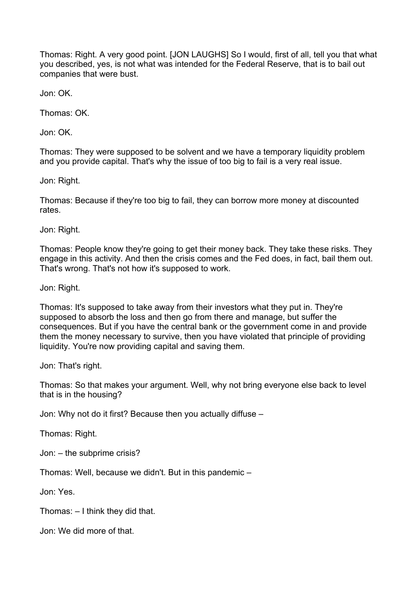Thomas: Right. A very good point. [JON LAUGHS] So I would, first of all, tell you that what you described, yes, is not what was intended for the Federal Reserve, that is to bail out companies that were bust.

Jon: OK.

Thomas: OK.

Jon: OK.

Thomas: They were supposed to be solvent and we have a temporary liquidity problem and you provide capital. That's why the issue of too big to fail is a very real issue.

Jon: Right.

Thomas: Because if they're too big to fail, they can borrow more money at discounted rates.

Jon: Right.

Thomas: People know they're going to get their money back. They take these risks. They engage in this activity. And then the crisis comes and the Fed does, in fact, bail them out. That's wrong. That's not how it's supposed to work.

Jon: Right.

Thomas: It's supposed to take away from their investors what they put in. They're supposed to absorb the loss and then go from there and manage, but suffer the consequences. But if you have the central bank or the government come in and provide them the money necessary to survive, then you have violated that principle of providing liquidity. You're now providing capital and saving them.

Jon: That's right.

Thomas: So that makes your argument. Well, why not bring everyone else back to level that is in the housing?

Jon: Why not do it first? Because then you actually diffuse –

Thomas: Right.

Jon: – the subprime crisis?

Thomas: Well, because we didn't. But in this pandemic –

Jon: Yes.

Thomas: – I think they did that.

Jon: We did more of that.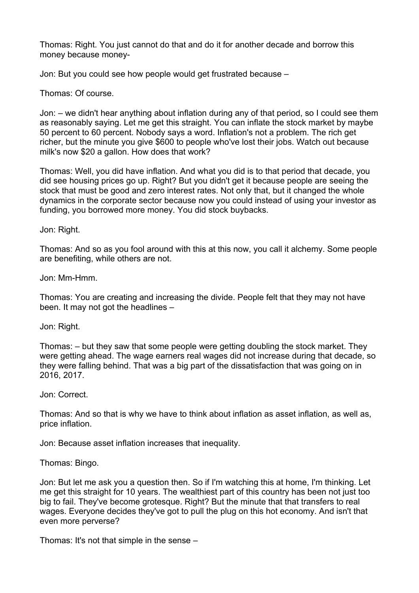Thomas: Right. You just cannot do that and do it for another decade and borrow this money because money-

Jon: But you could see how people would get frustrated because –

Thomas: Of course.

Jon: – we didn't hear anything about inflation during any of that period, so I could see them as reasonably saying. Let me get this straight. You can inflate the stock market by maybe 50 percent to 60 percent. Nobody says a word. Inflation's not a problem. The rich get richer, but the minute you give \$600 to people who've lost their jobs. Watch out because milk's now \$20 a gallon. How does that work?

Thomas: Well, you did have inflation. And what you did is to that period that decade, you did see housing prices go up. Right? But you didn't get it because people are seeing the stock that must be good and zero interest rates. Not only that, but it changed the whole dynamics in the corporate sector because now you could instead of using your investor as funding, you borrowed more money. You did stock buybacks.

Jon: Right.

Thomas: And so as you fool around with this at this now, you call it alchemy. Some people are benefiting, while others are not.

Jon: Mm-Hmm.

Thomas: You are creating and increasing the divide. People felt that they may not have been. It may not got the headlines –

Jon: Right.

Thomas: – but they saw that some people were getting doubling the stock market. They were getting ahead. The wage earners real wages did not increase during that decade, so they were falling behind. That was a big part of the dissatisfaction that was going on in 2016, 2017.

Jon: Correct.

Thomas: And so that is why we have to think about inflation as asset inflation, as well as, price inflation.

Jon: Because asset inflation increases that inequality.

Thomas: Bingo.

Jon: But let me ask you a question then. So if I'm watching this at home, I'm thinking. Let me get this straight for 10 years. The wealthiest part of this country has been not just too big to fail. They've become grotesque. Right? But the minute that that transfers to real wages. Everyone decides they've got to pull the plug on this hot economy. And isn't that even more perverse?

Thomas: It's not that simple in the sense –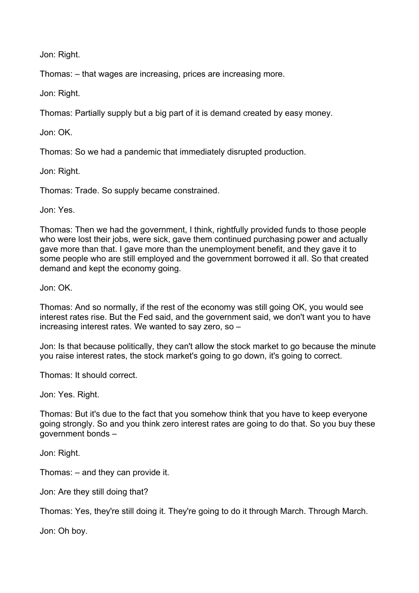Jon: Right.

Thomas: – that wages are increasing, prices are increasing more.

Jon: Right.

Thomas: Partially supply but a big part of it is demand created by easy money.

Jon: OK.

Thomas: So we had a pandemic that immediately disrupted production.

Jon: Right.

Thomas: Trade. So supply became constrained.

Jon: Yes.

Thomas: Then we had the government, I think, rightfully provided funds to those people who were lost their jobs, were sick, gave them continued purchasing power and actually gave more than that. I gave more than the unemployment benefit, and they gave it to some people who are still employed and the government borrowed it all. So that created demand and kept the economy going.

Jon: OK.

Thomas: And so normally, if the rest of the economy was still going OK, you would see interest rates rise. But the Fed said, and the government said, we don't want you to have increasing interest rates. We wanted to say zero, so –

Jon: Is that because politically, they can't allow the stock market to go because the minute you raise interest rates, the stock market's going to go down, it's going to correct.

Thomas: It should correct.

Jon: Yes. Right.

Thomas: But it's due to the fact that you somehow think that you have to keep everyone going strongly. So and you think zero interest rates are going to do that. So you buy these government bonds –

Jon: Right.

Thomas: – and they can provide it.

Jon: Are they still doing that?

Thomas: Yes, they're still doing it. They're going to do it through March. Through March.

Jon: Oh boy.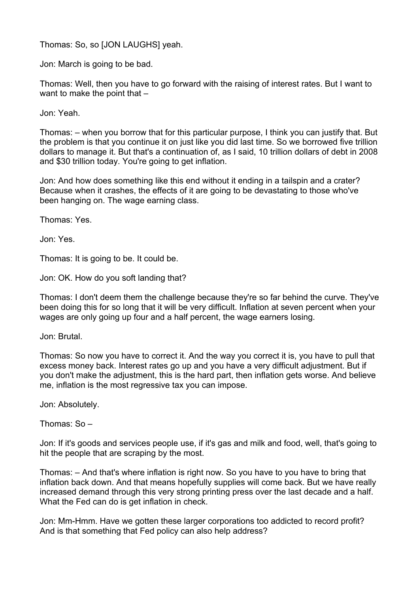Thomas: So, so [JON LAUGHS] yeah.

Jon: March is going to be bad.

Thomas: Well, then you have to go forward with the raising of interest rates. But I want to want to make the point that –

Jon: Yeah.

Thomas: – when you borrow that for this particular purpose, I think you can justify that. But the problem is that you continue it on just like you did last time. So we borrowed five trillion dollars to manage it. But that's a continuation of, as I said, 10 trillion dollars of debt in 2008 and \$30 trillion today. You're going to get inflation.

Jon: And how does something like this end without it ending in a tailspin and a crater? Because when it crashes, the effects of it are going to be devastating to those who've been hanging on. The wage earning class.

Thomas: Yes.

Jon: Yes.

Thomas: It is going to be. It could be.

Jon: OK. How do you soft landing that?

Thomas: I don't deem them the challenge because they're so far behind the curve. They've been doing this for so long that it will be very difficult. Inflation at seven percent when your wages are only going up four and a half percent, the wage earners losing.

Jon: Brutal.

Thomas: So now you have to correct it. And the way you correct it is, you have to pull that excess money back. Interest rates go up and you have a very difficult adjustment. But if you don't make the adjustment, this is the hard part, then inflation gets worse. And believe me, inflation is the most regressive tax you can impose.

Jon: Absolutely.

Thomas: So –

Jon: If it's goods and services people use, if it's gas and milk and food, well, that's going to hit the people that are scraping by the most.

Thomas: – And that's where inflation is right now. So you have to you have to bring that inflation back down. And that means hopefully supplies will come back. But we have really increased demand through this very strong printing press over the last decade and a half. What the Fed can do is get inflation in check.

Jon: Mm-Hmm. Have we gotten these larger corporations too addicted to record profit? And is that something that Fed policy can also help address?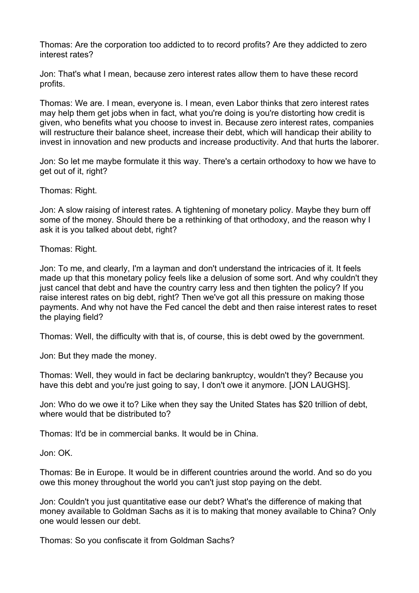Thomas: Are the corporation too addicted to to record profits? Are they addicted to zero interest rates?

Jon: That's what I mean, because zero interest rates allow them to have these record profits.

Thomas: We are. I mean, everyone is. I mean, even Labor thinks that zero interest rates may help them get jobs when in fact, what you're doing is you're distorting how credit is given, who benefits what you choose to invest in. Because zero interest rates, companies will restructure their balance sheet, increase their debt, which will handicap their ability to invest in innovation and new products and increase productivity. And that hurts the laborer.

Jon: So let me maybe formulate it this way. There's a certain orthodoxy to how we have to get out of it, right?

Thomas: Right.

Jon: A slow raising of interest rates. A tightening of monetary policy. Maybe they burn off some of the money. Should there be a rethinking of that orthodoxy, and the reason why I ask it is you talked about debt, right?

Thomas: Right.

Jon: To me, and clearly, I'm a layman and don't understand the intricacies of it. It feels made up that this monetary policy feels like a delusion of some sort. And why couldn't they just cancel that debt and have the country carry less and then tighten the policy? If you raise interest rates on big debt, right? Then we've got all this pressure on making those payments. And why not have the Fed cancel the debt and then raise interest rates to reset the playing field?

Thomas: Well, the difficulty with that is, of course, this is debt owed by the government.

Jon: But they made the money.

Thomas: Well, they would in fact be declaring bankruptcy, wouldn't they? Because you have this debt and you're just going to say, I don't owe it anymore. [JON LAUGHS].

Jon: Who do we owe it to? Like when they say the United States has \$20 trillion of debt, where would that be distributed to?

Thomas: It'd be in commercial banks. It would be in China.

Jon: OK.

Thomas: Be in Europe. It would be in different countries around the world. And so do you owe this money throughout the world you can't just stop paying on the debt.

Jon: Couldn't you just quantitative ease our debt? What's the difference of making that money available to Goldman Sachs as it is to making that money available to China? Only one would lessen our debt.

Thomas: So you confiscate it from Goldman Sachs?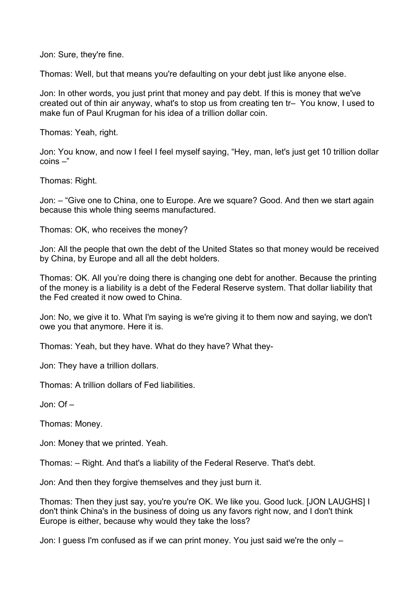Jon: Sure, they're fine.

Thomas: Well, but that means you're defaulting on your debt just like anyone else.

Jon: In other words, you just print that money and pay debt. If this is money that we've created out of thin air anyway, what's to stop us from creating ten tr– You know, I used to make fun of Paul Krugman for his idea of a trillion dollar coin.

Thomas: Yeah, right.

Jon: You know, and now I feel I feel myself saying, "Hey, man, let's just get 10 trillion dollar coins –"

Thomas: Right.

Jon: – "Give one to China, one to Europe. Are we square? Good. And then we start again because this whole thing seems manufactured.

Thomas: OK, who receives the money?

Jon: All the people that own the debt of the United States so that money would be received by China, by Europe and all all the debt holders.

Thomas: OK. All you're doing there is changing one debt for another. Because the printing of the money is a liability is a debt of the Federal Reserve system. That dollar liability that the Fed created it now owed to China.

Jon: No, we give it to. What I'm saying is we're giving it to them now and saying, we don't owe you that anymore. Here it is.

Thomas: Yeah, but they have. What do they have? What they-

Jon: They have a trillion dollars.

Thomas: A trillion dollars of Fed liabilities.

Jon: Of –

Thomas: Money.

Jon: Money that we printed. Yeah.

Thomas: – Right. And that's a liability of the Federal Reserve. That's debt.

Jon: And then they forgive themselves and they just burn it.

Thomas: Then they just say, you're you're OK. We like you. Good luck. [JON LAUGHS] I don't think China's in the business of doing us any favors right now, and I don't think Europe is either, because why would they take the loss?

Jon: I guess I'm confused as if we can print money. You just said we're the only –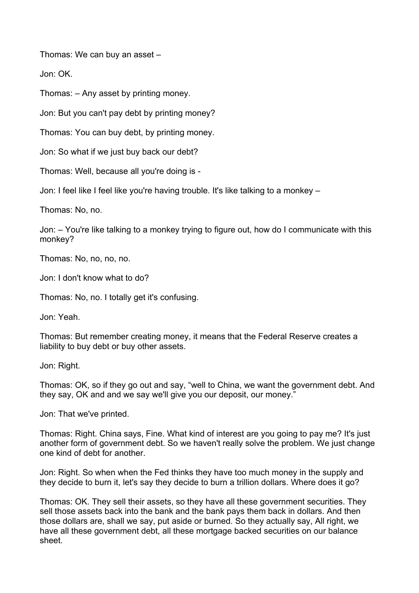Thomas: We can buy an asset –

Jon: OK.

Thomas: – Any asset by printing money.

Jon: But you can't pay debt by printing money?

Thomas: You can buy debt, by printing money.

Jon: So what if we just buy back our debt?

Thomas: Well, because all you're doing is -

Jon: I feel like I feel like you're having trouble. It's like talking to a monkey –

Thomas: No, no.

Jon: – You're like talking to a monkey trying to figure out, how do I communicate with this monkey?

Thomas: No, no, no, no.

Jon: I don't know what to do?

Thomas: No, no. I totally get it's confusing.

Jon: Yeah.

Thomas: But remember creating money, it means that the Federal Reserve creates a liability to buy debt or buy other assets.

Jon: Right.

Thomas: OK, so if they go out and say, "well to China, we want the government debt. And they say, OK and and we say we'll give you our deposit, our money."

Jon: That we've printed.

Thomas: Right. China says, Fine. What kind of interest are you going to pay me? It's just another form of government debt. So we haven't really solve the problem. We just change one kind of debt for another.

Jon: Right. So when when the Fed thinks they have too much money in the supply and they decide to burn it, let's say they decide to burn a trillion dollars. Where does it go?

Thomas: OK. They sell their assets, so they have all these government securities. They sell those assets back into the bank and the bank pays them back in dollars. And then those dollars are, shall we say, put aside or burned. So they actually say, All right, we have all these government debt, all these mortgage backed securities on our balance sheet.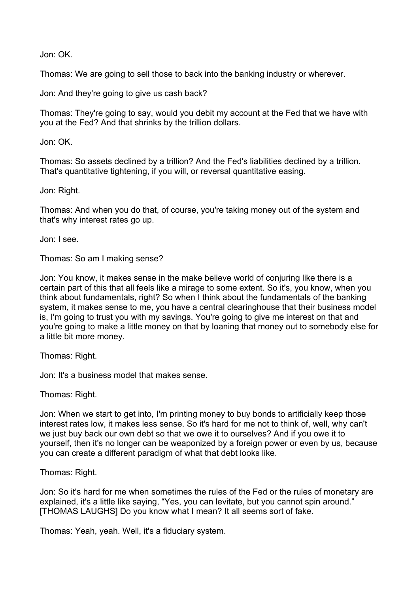Jon: OK.

Thomas: We are going to sell those to back into the banking industry or wherever.

Jon: And they're going to give us cash back?

Thomas: They're going to say, would you debit my account at the Fed that we have with you at the Fed? And that shrinks by the trillion dollars.

Jon: OK.

Thomas: So assets declined by a trillion? And the Fed's liabilities declined by a trillion. That's quantitative tightening, if you will, or reversal quantitative easing.

Jon: Right.

Thomas: And when you do that, of course, you're taking money out of the system and that's why interest rates go up.

Jon: I see.

Thomas: So am I making sense?

Jon: You know, it makes sense in the make believe world of conjuring like there is a certain part of this that all feels like a mirage to some extent. So it's, you know, when you think about fundamentals, right? So when I think about the fundamentals of the banking system, it makes sense to me, you have a central clearinghouse that their business model is, I'm going to trust you with my savings. You're going to give me interest on that and you're going to make a little money on that by loaning that money out to somebody else for a little bit more money.

Thomas: Right.

Jon: It's a business model that makes sense.

Thomas: Right.

Jon: When we start to get into, I'm printing money to buy bonds to artificially keep those interest rates low, it makes less sense. So it's hard for me not to think of, well, why can't we just buy back our own debt so that we owe it to ourselves? And if you owe it to yourself, then it's no longer can be weaponized by a foreign power or even by us, because you can create a different paradigm of what that debt looks like.

Thomas: Right.

Jon: So it's hard for me when sometimes the rules of the Fed or the rules of monetary are explained, it's a little like saying, "Yes, you can levitate, but you cannot spin around." [THOMAS LAUGHS] Do you know what I mean? It all seems sort of fake.

Thomas: Yeah, yeah. Well, it's a fiduciary system.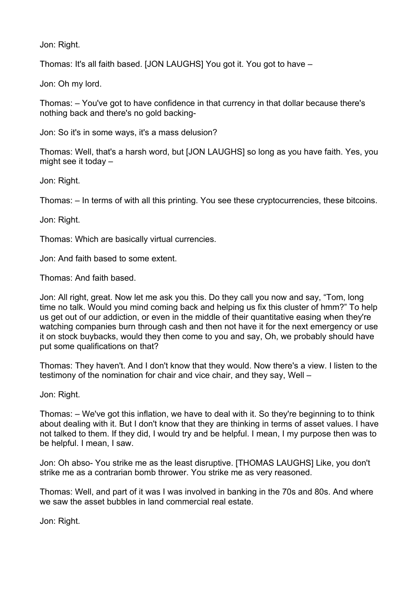Jon: Right.

Thomas: It's all faith based. [JON LAUGHS] You got it. You got to have –

Jon: Oh my lord.

Thomas: – You've got to have confidence in that currency in that dollar because there's nothing back and there's no gold backing-

Jon: So it's in some ways, it's a mass delusion?

Thomas: Well, that's a harsh word, but [JON LAUGHS] so long as you have faith. Yes, you might see it today –

Jon: Right.

Thomas: – In terms of with all this printing. You see these cryptocurrencies, these bitcoins.

Jon: Right.

Thomas: Which are basically virtual currencies.

Jon: And faith based to some extent.

Thomas: And faith based.

Jon: All right, great. Now let me ask you this. Do they call you now and say, "Tom, long time no talk. Would you mind coming back and helping us fix this cluster of hmm?" To help us get out of our addiction, or even in the middle of their quantitative easing when they're watching companies burn through cash and then not have it for the next emergency or use it on stock buybacks, would they then come to you and say, Oh, we probably should have put some qualifications on that?

Thomas: They haven't. And I don't know that they would. Now there's a view. I listen to the testimony of the nomination for chair and vice chair, and they say, Well –

Jon: Right.

Thomas: – We've got this inflation, we have to deal with it. So they're beginning to to think about dealing with it. But I don't know that they are thinking in terms of asset values. I have not talked to them. If they did, I would try and be helpful. I mean, I my purpose then was to be helpful. I mean, I saw.

Jon: Oh abso- You strike me as the least disruptive. [THOMAS LAUGHS] Like, you don't strike me as a contrarian bomb thrower. You strike me as very reasoned.

Thomas: Well, and part of it was I was involved in banking in the 70s and 80s. And where we saw the asset bubbles in land commercial real estate.

Jon: Right.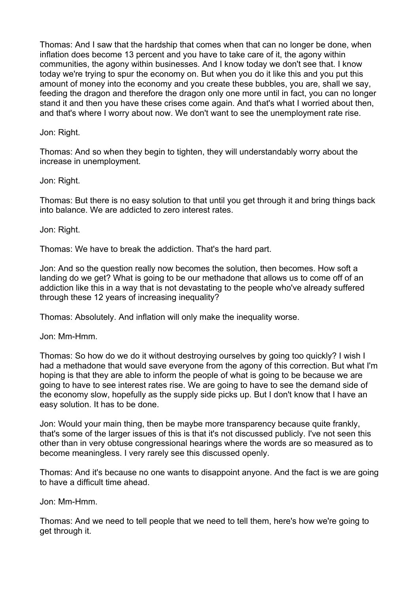Thomas: And I saw that the hardship that comes when that can no longer be done, when inflation does become 13 percent and you have to take care of it, the agony within communities, the agony within businesses. And I know today we don't see that. I know today we're trying to spur the economy on. But when you do it like this and you put this amount of money into the economy and you create these bubbles, you are, shall we say, feeding the dragon and therefore the dragon only one more until in fact, you can no longer stand it and then you have these crises come again. And that's what I worried about then, and that's where I worry about now. We don't want to see the unemployment rate rise.

Jon: Right.

Thomas: And so when they begin to tighten, they will understandably worry about the increase in unemployment.

Jon: Right.

Thomas: But there is no easy solution to that until you get through it and bring things back into balance. We are addicted to zero interest rates.

Jon: Right.

Thomas: We have to break the addiction. That's the hard part.

Jon: And so the question really now becomes the solution, then becomes. How soft a landing do we get? What is going to be our methadone that allows us to come off of an addiction like this in a way that is not devastating to the people who've already suffered through these 12 years of increasing inequality?

Thomas: Absolutely. And inflation will only make the inequality worse.

Jon: Mm-Hmm.

Thomas: So how do we do it without destroying ourselves by going too quickly? I wish I had a methadone that would save everyone from the agony of this correction. But what I'm hoping is that they are able to inform the people of what is going to be because we are going to have to see interest rates rise. We are going to have to see the demand side of the economy slow, hopefully as the supply side picks up. But I don't know that I have an easy solution. It has to be done.

Jon: Would your main thing, then be maybe more transparency because quite frankly, that's some of the larger issues of this is that it's not discussed publicly. I've not seen this other than in very obtuse congressional hearings where the words are so measured as to become meaningless. I very rarely see this discussed openly.

Thomas: And it's because no one wants to disappoint anyone. And the fact is we are going to have a difficult time ahead.

Jon: Mm-Hmm.

Thomas: And we need to tell people that we need to tell them, here's how we're going to get through it.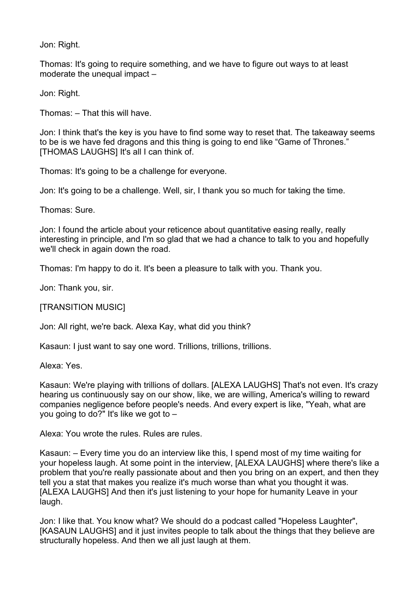Jon: Right.

Thomas: It's going to require something, and we have to figure out ways to at least moderate the unequal impact –

Jon: Right.

Thomas: – That this will have.

Jon: I think that's the key is you have to find some way to reset that. The takeaway seems to be is we have fed dragons and this thing is going to end like "Game of Thrones." [THOMAS LAUGHS] It's all I can think of.

Thomas: It's going to be a challenge for everyone.

Jon: It's going to be a challenge. Well, sir, I thank you so much for taking the time.

Thomas: Sure.

Jon: I found the article about your reticence about quantitative easing really, really interesting in principle, and I'm so glad that we had a chance to talk to you and hopefully we'll check in again down the road.

Thomas: I'm happy to do it. It's been a pleasure to talk with you. Thank you.

Jon: Thank you, sir.

[TRANSITION MUSIC]

Jon: All right, we're back. Alexa Kay, what did you think?

Kasaun: I just want to say one word. Trillions, trillions, trillions.

Alexa: Yes.

Kasaun: We're playing with trillions of dollars. [ALEXA LAUGHS] That's not even. It's crazy hearing us continuously say on our show, like, we are willing, America's willing to reward companies negligence before people's needs. And every expert is like, "Yeah, what are you going to do?" It's like we got to –

Alexa: You wrote the rules. Rules are rules.

Kasaun: – Every time you do an interview like this, I spend most of my time waiting for your hopeless laugh. At some point in the interview, [ALEXA LAUGHS] where there's like a problem that you're really passionate about and then you bring on an expert, and then they tell you a stat that makes you realize it's much worse than what you thought it was. [ALEXA LAUGHS] And then it's just listening to your hope for humanity Leave in your laugh.

Jon: I like that. You know what? We should do a podcast called "Hopeless Laughter", [KASAUN LAUGHS] and it just invites people to talk about the things that they believe are structurally hopeless. And then we all just laugh at them.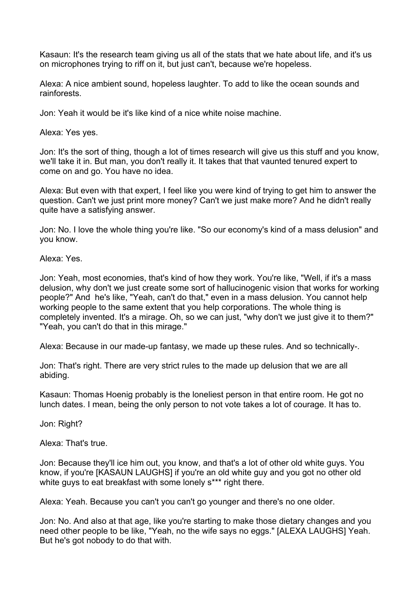Kasaun: It's the research team giving us all of the stats that we hate about life, and it's us on microphones trying to riff on it, but just can't, because we're hopeless.

Alexa: A nice ambient sound, hopeless laughter. To add to like the ocean sounds and rainforests.

Jon: Yeah it would be it's like kind of a nice white noise machine.

Alexa: Yes yes.

Jon: It's the sort of thing, though a lot of times research will give us this stuff and you know, we'll take it in. But man, you don't really it. It takes that that vaunted tenured expert to come on and go. You have no idea.

Alexa: But even with that expert, I feel like you were kind of trying to get him to answer the question. Can't we just print more money? Can't we just make more? And he didn't really quite have a satisfying answer.

Jon: No. I love the whole thing you're like. "So our economy's kind of a mass delusion" and you know.

Alexa: Yes.

Jon: Yeah, most economies, that's kind of how they work. You're like, "Well, if it's a mass delusion, why don't we just create some sort of hallucinogenic vision that works for working people?" And he's like, "Yeah, can't do that," even in a mass delusion. You cannot help working people to the same extent that you help corporations. The whole thing is completely invented. It's a mirage. Oh, so we can just, "why don't we just give it to them?" "Yeah, you can't do that in this mirage."

Alexa: Because in our made-up fantasy, we made up these rules. And so technically-.

Jon: That's right. There are very strict rules to the made up delusion that we are all abiding.

Kasaun: Thomas Hoenig probably is the loneliest person in that entire room. He got no lunch dates. I mean, being the only person to not vote takes a lot of courage. It has to.

Jon: Right?

Alexa: That's true.

Jon: Because they'll ice him out, you know, and that's a lot of other old white guys. You know, if you're [KASAUN LAUGHS] if you're an old white guy and you got no other old white guys to eat breakfast with some lonely s\*\*\* right there.

Alexa: Yeah. Because you can't you can't go younger and there's no one older.

Jon: No. And also at that age, like you're starting to make those dietary changes and you need other people to be like, "Yeah, no the wife says no eggs." [ALEXA LAUGHS] Yeah. But he's got nobody to do that with.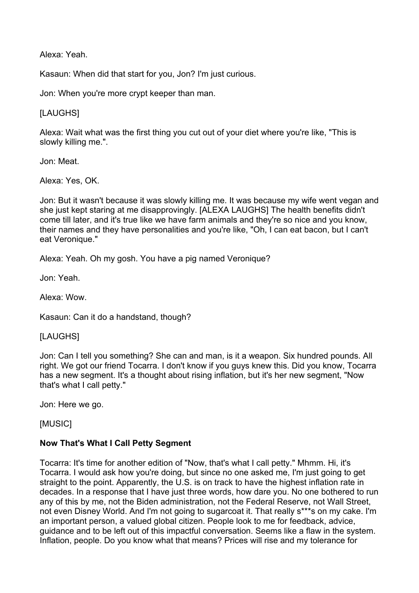Alexa: Yeah.

Kasaun: When did that start for you, Jon? I'm just curious.

Jon: When you're more crypt keeper than man.

# [LAUGHS]

Alexa: Wait what was the first thing you cut out of your diet where you're like, "This is slowly killing me.".

Jon: Meat.

Alexa: Yes, OK.

Jon: But it wasn't because it was slowly killing me. It was because my wife went vegan and she just kept staring at me disapprovingly. [ALEXA LAUGHS] The health benefits didn't come till later, and it's true like we have farm animals and they're so nice and you know, their names and they have personalities and you're like, "Oh, I can eat bacon, but I can't eat Veronique."

Alexa: Yeah. Oh my gosh. You have a pig named Veronique?

Jon: Yeah.

Alexa: Wow.

Kasaun: Can it do a handstand, though?

## [LAUGHS]

Jon: Can I tell you something? She can and man, is it a weapon. Six hundred pounds. All right. We got our friend Tocarra. I don't know if you guys knew this. Did you know, Tocarra has a new segment. It's a thought about rising inflation, but it's her new segment, "Now that's what I call petty."

Jon: Here we go.

[MUSIC]

## **Now That's What I Call Petty Segment**

Tocarra: It's time for another edition of "Now, that's what I call petty." Mhmm. Hi, it's Tocarra. I would ask how you're doing, but since no one asked me, I'm just going to get straight to the point. Apparently, the U.S. is on track to have the highest inflation rate in decades. In a response that I have just three words, how dare you. No one bothered to run any of this by me, not the Biden administration, not the Federal Reserve, not Wall Street, not even Disney World. And I'm not going to sugarcoat it. That really s\*\*\*s on my cake. I'm an important person, a valued global citizen. People look to me for feedback, advice, guidance and to be left out of this impactful conversation. Seems like a flaw in the system. Inflation, people. Do you know what that means? Prices will rise and my tolerance for